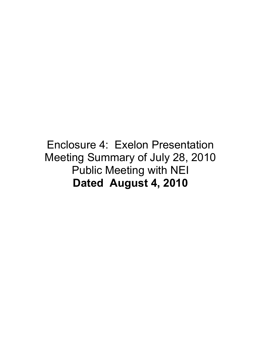## Enclosure 4: Exelon Presentation Meeting Summary of July 28, 2010 Public Meeting with NEI **Dated August 4, 2010**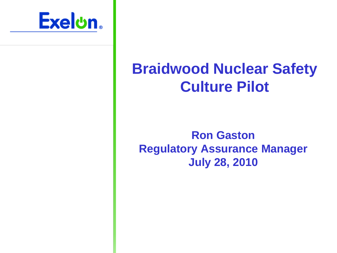

## **Braidwood Nuclear Safety Culture Pilot**

## **Ron Gaston Regulatory Assurance Manager July 28, 2010**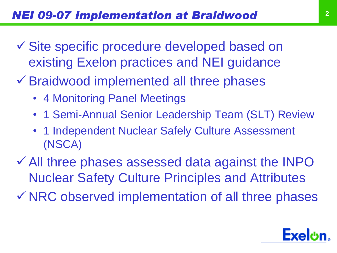- Site specific procedure developed based on existing Exelon practices and NEI guidance
- Braidwood implemented all three phases
	- 4 Monitoring Panel Meetings
	- 1 Semi-Annual Senior Leadership Team (SLT) Review
	- 1 Independent Nuclear Safely Culture Assessment (NSCA)

 All three phases assessed data against the INPO Nuclear Safety Culture Principles and Attributes

 $\checkmark$  NRC observed implementation of all three phases

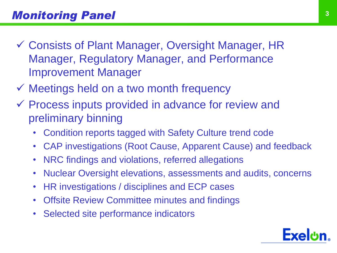- Consists of Plant Manager, Oversight Manager, HR Manager, Regulatory Manager, and Performance Improvement Manager
- $\checkmark$  Meetings held on a two month frequency
- Process inputs provided in advance for review and preliminary binning
	- Condition reports tagged with Safety Culture trend code
	- CAP investigations (Root Cause, Apparent Cause) and feedback
	- NRC findings and violations, referred allegations
	- Nuclear Oversight elevations, assessments and audits, concerns
	- HR investigations / disciplines and ECP cases
	- Offsite Review Committee minutes and findings
	- Selected site performance indicators

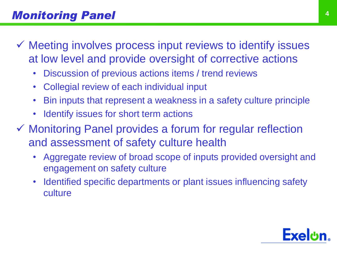- $\checkmark$  Meeting involves process input reviews to identify issues at low level and provide oversight of corrective actions
	- Discussion of previous actions items / trend reviews
	- Collegial review of each individual input
	- Bin inputs that represent a weakness in a safety culture principle
	- Identify issues for short term actions
- Monitoring Panel provides a forum for regular reflection and assessment of safety culture health
	- Aggregate review of broad scope of inputs provided oversight and engagement on safety culture
	- Identified specific departments or plant issues influencing safety culture

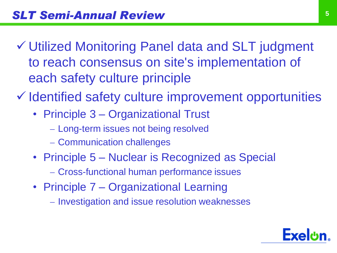- Utilized Monitoring Panel data and SLT judgment to reach consensus on site's implementation of each safety culture principle
- $\checkmark$  Identified safety culture improvement opportunities
	- Principle 3 Organizational Trust
		- Long-term issues not being resolved
		- Communication challenges
	- Principle 5 Nuclear is Recognized as Special
		- Cross-functional human performance issues
	- Principle 7 Organizational Learning
		- Investigation and issue resolution weaknesses

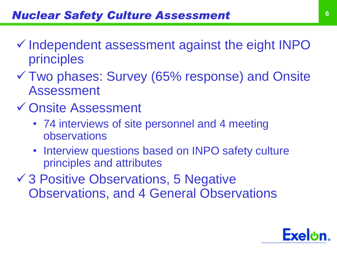- $\checkmark$  Independent assessment against the eight INPO principles
- Two phases: Survey (65% response) and Onsite Assessment
- Onsite Assessment
	- 74 interviews of site personnel and 4 meeting observations
	- Interview questions based on INPO safety culture principles and attributes
- **√ 3 Positive Observations, 5 Negative** Observations, and 4 General Observations

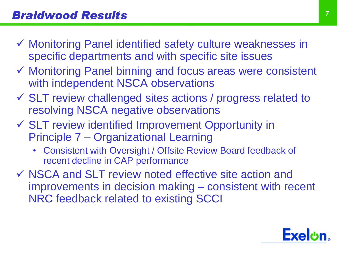- Monitoring Panel identified safety culture weaknesses in specific departments and with specific site issues
- Monitoring Panel binning and focus areas were consistent with independent NSCA observations
- SLT review challenged sites actions / progress related to resolving NSCA negative observations
- SLT review identified Improvement Opportunity in Principle 7 – Organizational Learning
	- Consistent with Oversight / Offsite Review Board feedback of recent decline in CAP performance
- $\checkmark$  NSCA and SLT review noted effective site action and improvements in decision making – consistent with recent NRC feedback related to existing SCCI

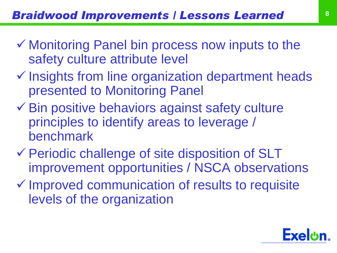- $\checkmark$  Monitoring Panel bin process now inputs to the safety culture attribute level
- $\checkmark$  Insights from line organization department heads presented to Monitoring Panel
- $\checkmark$  Bin positive behaviors against safety culture principles to identify areas to leverage / benchmark
- Periodic challenge of site disposition of SLT improvement opportunities / NSCA observations
- $\checkmark$  Improved communication of results to requisite levels of the organization